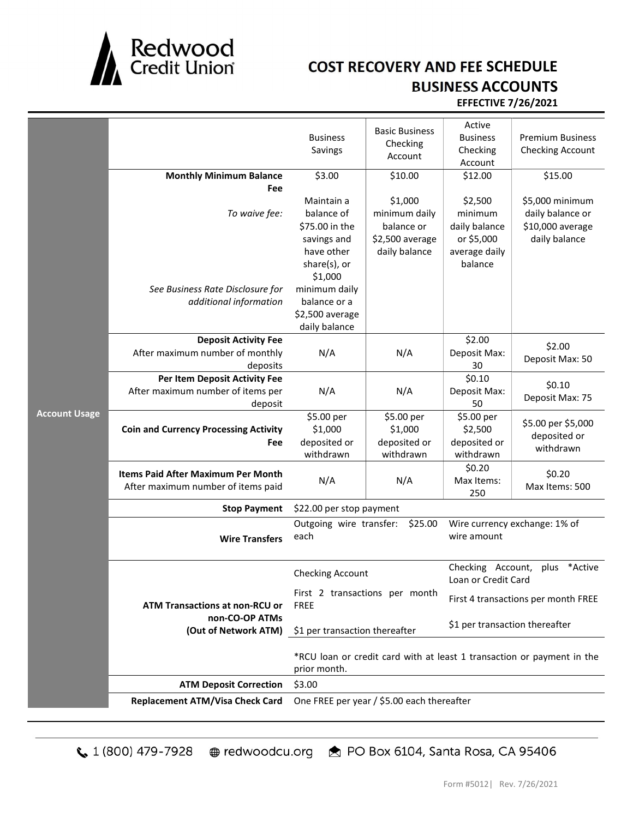

## COST RECOVERY AND FEE SCHEDULE BUSINESS ACCOUNTS

## EFFECTIVE 7/26/2021

|                      | <b>Monthly Minimum Balance</b><br>Fee                                                     | <b>Business</b><br>Savings<br>\$3.00<br>Maintain a                                                                                       | <b>Basic Business</b><br>Checking<br>Account<br>\$10.00<br>\$1,000 | Active<br><b>Business</b><br>Checking<br>Account<br>\$12.00<br>\$2,500 | <b>Premium Business</b><br>Checking Account<br>\$15.00<br>\$5,000 minimum |
|----------------------|-------------------------------------------------------------------------------------------|------------------------------------------------------------------------------------------------------------------------------------------|--------------------------------------------------------------------|------------------------------------------------------------------------|---------------------------------------------------------------------------|
| <b>Account Usage</b> | To waive fee:<br>See Business Rate Disclosure for<br>additional information               | balance of<br>\$75.00 in the<br>savings and<br>have other<br>share(s), or<br>\$1,000<br>minimum daily<br>balance or a<br>\$2,500 average | minimum daily<br>balance or<br>\$2,500 average<br>daily balance    | minimum<br>daily balance<br>or \$5,000<br>average daily<br>balance     | daily balance or<br>\$10,000 average<br>daily balance                     |
|                      | <b>Deposit Activity Fee</b><br>After maximum number of monthly                            | daily balance<br>N/A                                                                                                                     | N/A                                                                | \$2.00<br>Deposit Max:                                                 | \$2.00<br>Deposit Max: 50                                                 |
|                      | deposits<br>Per Item Deposit Activity Fee<br>After maximum number of items per<br>deposit | N/A                                                                                                                                      | N/A                                                                | 30<br>$\frac{1}{5}0.10$<br>Deposit Max:<br>50                          | \$0.10<br>Deposit Max: 75                                                 |
|                      | <b>Coin and Currency Processing Activity</b><br>Fee                                       | \$5.00 per<br>\$1,000<br>deposited or<br>withdrawn                                                                                       | \$5.00 per<br>\$1,000<br>deposited or<br>withdrawn                 | \$5.00 per<br>\$2,500<br>deposited or<br>withdrawn                     | \$5.00 per \$5,000<br>deposited or<br>withdrawn                           |
|                      | <b>Items Paid After Maximum Per Month</b><br>After maximum number of items paid           | N/A                                                                                                                                      | N/A                                                                | \$0.20<br>Max Items:<br>250                                            | \$0.20<br>Max Items: 500                                                  |
|                      | <b>Stop Payment</b>                                                                       | \$22.00 per stop payment                                                                                                                 |                                                                    |                                                                        |                                                                           |
|                      | <b>Wire Transfers</b>                                                                     | Outgoing wire transfer:<br>\$25.00<br>each                                                                                               |                                                                    | Wire currency exchange: 1% of<br>wire amount                           |                                                                           |
|                      |                                                                                           | <b>Checking Account</b>                                                                                                                  |                                                                    | Checking Account,<br>*Active<br>plus<br>Loan or Credit Card            |                                                                           |
|                      | <b>ATM Transactions at non-RCU or</b><br>non-CO-OP ATMs<br>(Out of Network ATM)           | First 2 transactions per month<br><b>FREE</b>                                                                                            |                                                                    | First 4 transactions per month FREE                                    |                                                                           |
|                      |                                                                                           | \$1 per transaction thereafter<br>\$1 per transaction thereafter                                                                         |                                                                    |                                                                        |                                                                           |
|                      |                                                                                           | prior month.                                                                                                                             |                                                                    | *RCU loan or credit card with at least 1 transaction or payment in the |                                                                           |
|                      | <b>ATM Deposit Correction</b>                                                             | \$3.00                                                                                                                                   |                                                                    |                                                                        |                                                                           |
|                      | <b>Replacement ATM/Visa Check Card</b>                                                    | One FREE per year / \$5.00 each thereafter                                                                                               |                                                                    |                                                                        |                                                                           |